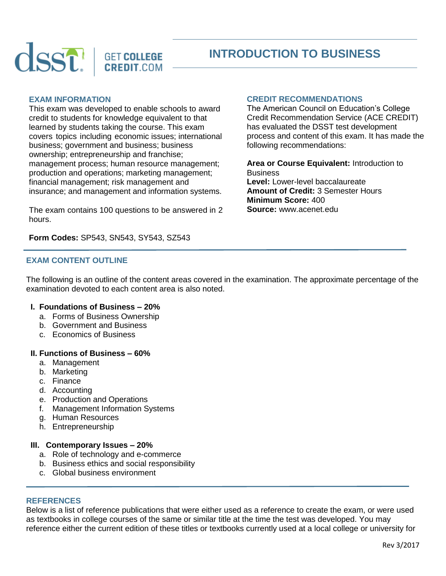

**CREDIT.COM** 

# **INTRODUCTION TO BUSINESS**

# **EXAM INFORMATION**

This exam was developed to enable schools to award credit to students for knowledge equivalent to that learned by students taking the course. This exam covers topics including economic issues; international business; government and business; business ownership; entrepreneurship and franchise; management process; human resource management; production and operations; marketing management; financial management; risk management and insurance; and management and information systems.

The exam contains 100 questions to be answered in 2 hours.

**Form Codes:** SP543, SN543, SY543, SZ543

## **EXAM CONTENT OUTLINE**

The following is an outline of the content areas covered in the examination. The approximate percentage of the examination devoted to each content area is also noted.

## **I. Foundations of Business – 20%**

- a. Forms of Business Ownership
- b. Government and Business
- c. Economics of Business

#### **II. Functions of Business – 60%**

- a. Management
- b. Marketing
- c. Finance
- d. Accounting
- e. Production and Operations
- f. Management Information Systems
- g. Human Resources
- h. Entrepreneurship

## **III. Contemporary Issues – 20%**

- a. Role of technology and e-commerce
- b. Business ethics and social responsibility
- c. Global business environment

## **REFERENCES**

Below is a list of reference publications that were either used as a reference to create the exam, or were used as textbooks in college courses of the same or similar title at the time the test was developed. You may reference either the current edition of these titles or textbooks currently used at a local college or university for

# **CREDIT RECOMMENDATIONS**

The American Council on Education's College Credit Recommendation Service (ACE CREDIT) has evaluated the DSST test development process and content of this exam. It has made the following recommendations:

**Area or Course Equivalent:** Introduction to **Business Level:** Lower-level baccalaureate **Amount of Credit:** 3 Semester Hours **Minimum Score:** 400 **Source:** www.acenet.edu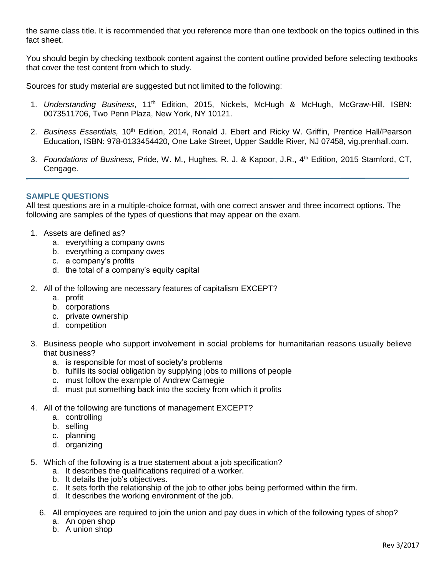the same class title. It is recommended that you reference more than one textbook on the topics outlined in this fact sheet.

You should begin by checking textbook content against the content outline provided before selecting textbooks that cover the test content from which to study.

Sources for study material are suggested but not limited to the following:

- 1. *Understanding Business*, 11th Edition, 2015, Nickels, McHugh & McHugh, McGraw-Hill, ISBN: 0073511706, Two Penn Plaza, New York, NY 10121.
- 2. *Business Essentials,* 10<sup>th</sup> Edition, 2014, Ronald J. Ebert and Ricky W. Griffin, Prentice Hall/Pearson Education, ISBN: 978-0133454420, One Lake Street, Upper Saddle River, NJ 07458, vig.prenhall.com.
- 3. *Foundations of Business, Pride, W. M., Hughes, R. J. & Kapoor, J.R., 4<sup>th</sup> Edition, 2015 Stamford, CT.* Cengage.

# **SAMPLE QUESTIONS**

All test questions are in a multiple-choice format, with one correct answer and three incorrect options. The following are samples of the types of questions that may appear on the exam.

- 1. Assets are defined as?
	- a. everything a company owns
	- b. everything a company owes
	- c. a company's profits
	- d. the total of a company's equity capital
- 2. All of the following are necessary features of capitalism EXCEPT?
	- a. profit
	- b. corporations
	- c. private ownership
	- d. competition
- 3. Business people who support involvement in social problems for humanitarian reasons usually believe that business?
	- a. is responsible for most of society's problems
	- b. fulfills its social obligation by supplying jobs to millions of people
	- c. must follow the example of Andrew Carnegie
	- d. must put something back into the society from which it profits
- 4. All of the following are functions of management EXCEPT?
	- a. controlling
	- b. selling
	- c. planning
	- d. organizing
- 5. Which of the following is a true statement about a job specification?
	- a. It describes the qualifications required of a worker.
	- b. It details the job's objectives.
	- c. It sets forth the relationship of the job to other jobs being performed within the firm.
	- d. It describes the working environment of the job.
	- 6. All employees are required to join the union and pay dues in which of the following types of shop?
		- a. An open shop
		- b. A union shop